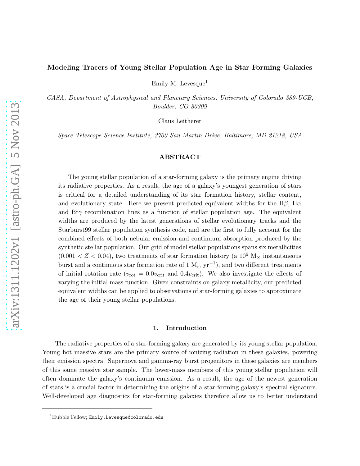# Modeling Tracers of Young Stellar Population Age in Star-Forming Galaxies

Emily M. Levesque<sup>1</sup>

CASA, Department of Astrophysical and Planetary Sciences, University of Colorado 389-UCB, Boulder, CO 80309

Claus Leitherer

Space Telescope Science Institute, 3700 San Martin Drive, Baltimore, MD 21218, USA

# ABSTRACT

The young stellar population of a star-forming galaxy is the primary engine driving its radiative properties. As a result, the age of a galaxy's youngest generation of stars is critical for a detailed understanding of its star formation history, stellar content, and evolutionary state. Here we present predicted equivalent widths for the  $H\beta$ ,  $H\alpha$ and  $\text{Br}\gamma$  recombination lines as a function of stellar population age. The equivalent widths are produced by the latest generations of stellar evolutionary tracks and the Starburst99 stellar population synthesis code, and are the first to fully account for the combined effects of both nebular emission and continuum absorption produced by the synthetic stellar population. Our grid of model stellar populations spans six metallicities  $(0.001 < Z < 0.04)$ , two treatments of star formation history (a 10<sup>6</sup> M<sub>☉</sub> instantaneous burst and a continuous star formation rate of 1  $M_{\odot}$  yr<sup>-1</sup>), and two different treatments of initial rotation rate ( $v_{\text{rot}} = 0.0v_{\text{crit}}$  and  $0.4v_{\text{crit}}$ ). We also investigate the effects of varying the initial mass function. Given constraints on galaxy metallicity, our predicted equivalent widths can be applied to observations of star-forming galaxies to approximate the age of their young stellar populations.

#### 1. Introduction

The radiative properties of a star-forming galaxy are generated by its young stellar population. Young hot massive stars are the primary source of ionizing radiation in these galaxies, powering their emission spectra. Supernova and gamma-ray burst progenitors in these galaxies are members of this same massive star sample. The lower-mass members of this young stellar population will often dominate the galaxy's continuum emission. As a result, the age of the newest generation of stars is a crucial factor in determining the origins of a star-forming galaxy's spectral signature. Well-developed age diagnostics for star-forming galaxies therefore allow us to better understand

<sup>&</sup>lt;sup>1</sup>Hubble Fellow; Emily.Levesque@colorado.edu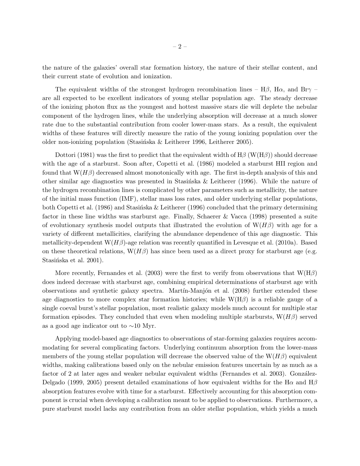the nature of the galaxies' overall star formation history, the nature of their stellar content, and their current state of evolution and ionization.

The equivalent widths of the strongest hydrogen recombination lines –  $H\beta$ ,  $H\alpha$ , and Br $\gamma$  – are all expected to be excellent indicators of young stellar population age. The steady decrease of the ionizing photon flux as the youngest and hottest massive stars die will deplete the nebular component of the hydrogen lines, while the underlying absorption will decrease at a much slower rate due to the substantial contribution from cooler lower-mass stars. As a result, the equivalent widths of these features will directly measure the ratio of the young ionizing population over the older non-ionizing population (Stasińska & Leitherer 1996, Leitherer 2005).

Dottori (1981) was the first to predict that the equivalent width of  $H\beta$  (W( $H\beta$ )) should decrease with the age of a starburst. Soon after, Copetti et al. (1986) modeled a starburst HII region and found that  $W(H\beta)$  decreased almost monotonically with age. The first in-depth analysis of this and other similar age diagnostics was presented in Stasinska & Leitherer (1996). While the nature of the hydrogen recombination lines is complicated by other parameters such as metallicity, the nature of the initial mass function (IMF), stellar mass loss rates, and older underlying stellar populations, both Copetti et al. (1986) and Stasinska & Leitherer (1996) concluded that the primary determining factor in these line widths was starburst age. Finally, Schaerer & Vacca (1998) presented a suite of evolutionary synthesis model outputs that illustrated the evolution of  $W(H\beta)$  with age for a variety of different metallicities, clarifying the abundance dependence of this age diagnostic. This metallicity-dependent  $W(H\beta)$ -age relation was recently quantified in Levesque et al. (2010a). Based on these theoretical relations,  $W(H\beta)$  has since been used as a direct proxy for starburst age (e.g. Stasińska et al. 2001).

More recently, Fernandes et al. (2003) were the first to verify from observations that  $W(H\beta)$ does indeed decrease with starburst age, combining empirical determinations of starburst age with observations and synthetic galaxy spectra. Martín-Manjón et al. (2008) further extended these age diagnostics to more complex star formation histories; while  $W(H\beta)$  is a reliable gauge of a single coeval burst's stellar population, most realistic galaxy models much account for multiple star formation episodes. They concluded that even when modeling multiple starbursts,  $W(H\beta)$  served as a good age indicator out to ∼10 Myr.

Applying model-based age diagnostics to observations of star-forming galaxies requires accommodating for several complicating factors. Underlying continuum absorption from the lower-mass members of the young stellar population will decrease the observed value of the  $W(H\beta)$  equivalent widths, making calibrations based only on the nebular emission features uncertain by as much as a factor of 2 at later ages and weaker nebular equivalent widths (Fernandes et al. 2003). González-Delgado (1999, 2005) present detailed examinations of how equivalent widths for the H $\alpha$  and H $\beta$ absorption features evolve with time for a starburst. Effectively accounting for this absorption component is crucial when developing a calibration meant to be applied to observations. Furthermore, a pure starburst model lacks any contribution from an older stellar population, which yields a much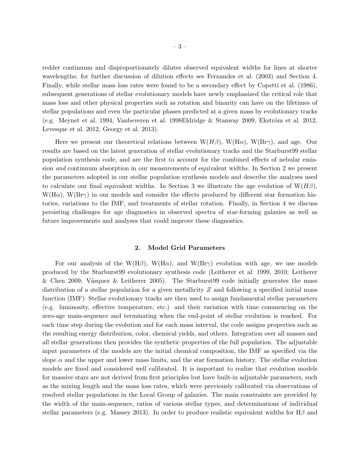redder continuum and disproportionately dilutes observed equivalent widths for lines at shorter wavelengths; for further discussion of dilution effects see Fernandes et al. (2003) and Section 4. Finally, while stellar mass loss rates were found to be a secondary effect by Copetti et al. (1986), subsequent generations of stellar evolutionary models have newly emphasized the critical role that mass loss and other physical properties such as rotation and binarity can have on the lifetimes of stellar populations and even the particular phases predicted at a given mass by evolutionary tracks (e.g. Meynet et al. 1994, Vanbeveren et al. 1998Eldridge & Stanway 2009, Ekström et al. 2012, Levesque et al. 2012, Georgy et al. 2013).

Here we present our theoretical relations between  $W(H\beta)$ ,  $W(H\alpha)$ ,  $W(Br\gamma)$ , and age. Our results are based on the latest generation of stellar evolutionary tracks and the Starburst99 stellar population synthesis code, and are the first to account for the combined effects of nebular emission and continuum absorption in our measurements of equivalent widths. In Section 2 we present the parameters adopted in our stellar population synthesis models and describe the analyses used to calculate our final equivalent widths. In Section 3 we illustrate the age evolution of  $W(H\beta)$ ,  $W(H\alpha)$ ,  $W(Br\gamma)$  in our models and consider the effects produced by different star formation histories, variations to the IMF, and treatments of stellar rotation. Finally, in Section 4 we discuss persisting challenges for age diagnostics in observed spectra of star-forming galaxies as well as future improvements and analyses that could improve these diagnostics.

### 2. Model Grid Parameters

For our analysis of the W(H $\beta$ ), W(H $\alpha$ ), and W(Br $\gamma$ ) evolution with age, we use models produced by the Starburst99 evolutionary synthesis code (Leitherer et al. 1999, 2010; Leitherer & Chen 2009; Vázquez & Leitherer 2005). The Starburst99 code initially generates the mass distribution of a stellar population for a given metallicity  $Z$  and following a specified initial mass function (IMF). Stellar evolutionary tracks are then used to assign fundamental stellar parameters (e.g. luminosity, effective temperature, etc.) and their variation with time commencing on the zero-age main-sequence and terminating when the end-point of stellar evolution is reached. For each time step during the evolution and for each mass interval, the code assigns properties such as the resulting energy distribution, color, chemical yields, and others. Integration over all masses and all stellar generations then provides the synthetic properties of the full population. The adjustable input parameters of the models are the initial chemical composition, the IMF as specified via the slope  $\alpha$  and the upper and lower mass limits, and the star formation history. The stellar evolution models are fixed and considered well calibrated. It is important to realize that evolution models for massive stars are not derived from first principles but have built-in adjustable parameters, such as the mixing length and the mass loss rates, which were previously calibrated via observations of resolved stellar populations in the Local Group of galaxies. The main constraints are provided by the width of the main-sequence, ratios of various stellar types, and determinations of individual stellar parameters (e.g. Massey 2013). In order to produce realistic equivalent widths for  $H\beta$  and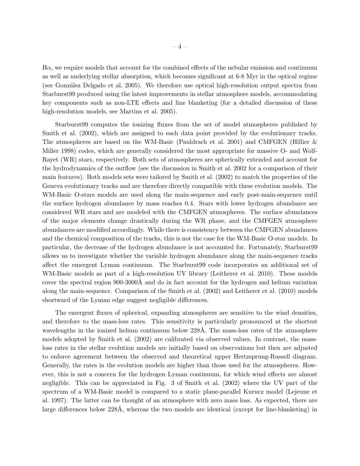$H\alpha$ , we require models that account for the combined effects of the nebular emission and continuum as well as underlying stellar absorption, which becomes significant at 6-8 Myr in the optical regime (see Gonz´alez Delgado et al. 2005). We therefore use optical high-resolution output spectra from Starburst99 produced using the latest improvements in stellar atmosphere models, accommodating key components such as non-LTE effects and line blanketing (for a detailed discussion of these high-resolution models, see Martins et al. 2005).

Starburst99 computes the ionizing fluxes from the set of model atmospheres published by Smith et al. (2002), which are assigned to each data point provided by the evolutionary tracks. The atmospheres are based on the WM-Basic (Pauldrach et al. 2001) and CMFGEN (Hillier  $\&$ Miller 1998) codes, which are generally considered the most appropriate for massive O- and Wolf-Rayet (WR) stars, respectively. Both sets of atmospheres are spherically extended and account for the hydrodynamics of the outflow (see the discussion in Smith et al. 2002 for a comparison of their main features). Both models sets were tailored by Smith et al. (2002) to match the properties of the Geneva evolutionary tracks and are therefore directly compatible with these evolution models. The WM-Basic O-stars models are used along the main-sequence and early post-main-sequence until the surface hydrogen abundance by mass reaches 0.4. Stars with lower hydrogen abundance are considered WR stars and are modeled with the CMFGEN atmospheres. The surface abundances of the major elements change drastically during the WR phase, and the CMFGEN atmosphere abundances are modified accordingly. While there is consistency between the CMFGEN abundances and the chemical composition of the tracks, this is not the case for the WM-Basic O-star models. In particular, the decrease of the hydrogen abundance is not accounted for. Fortunately, Starburst99 allows us to investigate whether the variable hydrogen abundance along the main-sequence tracks affect the emergent Lyman continuum. The Starburst99 code incorporates an additional set of WM-Basic models as part of a high-resolution UV library (Leitherer et al. 2010). These models cover the spectral region 900-3000A and do in fact account for the hydrogen and helium variation along the main-sequence. Comparison of the Smith et al. (2002) and Leitherer et al. (2010) models shortward of the Lyman edge suggest negligible differences.

The emergent fluxes of spherical, expanding atmospheres are sensitive to the wind densities, and therefore to the mass-loss rates. This sensitivity is particularly pronounced at the shortest wavelengths in the ionized helium continuum below 228Å. The mass-loss rates of the atmosphere models adopted by Smith et al. (2002) are calibrated via observed values. In contrast, the massloss rates in the stellar evolution models are initially based on observations but then are adjusted to enforce agreement between the observed and theoretical upper Hertzsprung-Russell diagram. Generally, the rates in the evolution models are higher than those used for the atmospheres. However, this is not a concern for the hydrogen Lyman continuum, for which wind effects are almost negligible. This can be appreciated in Fig. 3 of Smith et al. (2002) where the UV part of the spectrum of a WM-Basic model is compared to a static plane-parallel Kurucz model (Lejeune et al. 1997). The latter can be thought of an atmosphere with zero mass loss. As expected, there are large differences below 228Å, whereas the two models are identical (except for line-blanketing) in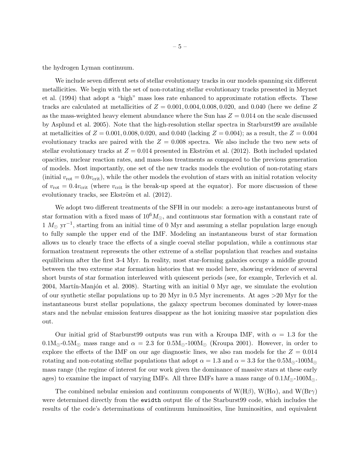the hydrogen Lyman continuum.

We include seven different sets of stellar evolutionary tracks in our models spanning six different metallicities. We begin with the set of non-rotating stellar evolutionary tracks presented in Meynet et al. (1994) that adopt a "high" mass loss rate enhanced to approximate rotation effects. These tracks are calculated at metallicities of  $Z = 0.001, 0.004, 0.008, 0.020,$  and 0.040 (here we define Z as the mass-weighted heavy element abundance where the Sun has  $Z = 0.014$  on the scale discussed by Asplund et al. 2005). Note that the high-resolution stellar spectra in Starburst99 are available at metallicities of  $Z = 0.001, 0.008, 0.020,$  and 0.040 (lacking  $Z = 0.004$ ); as a result, the  $Z = 0.004$ evolutionary tracks are paired with the  $Z = 0.008$  spectra. We also include the two new sets of stellar evolutionary tracks at  $Z = 0.014$  presented in Ekström et al. (2012). Both included updated opacities, nuclear reaction rates, and mass-loss treatments as compared to the previous generation of models. Most importantly, one set of the new tracks models the evolution of non-rotating stars (initial  $v_{\rm rot} = 0.0v_{\rm crit}$ ), while the other models the evolution of stars with an initial rotation velocity of  $v_{\text{rot}} = 0.4v_{\text{crit}}$  (where  $v_{\text{crit}}$  is the break-up speed at the equator). For more discussion of these evolutionary tracks, see Ekström et al.  $(2012)$ .

We adopt two different treatments of the SFH in our models: a zero-age instantaneous burst of star formation with a fixed mass of  $10^6 M_{\odot}$ , and continuous star formation with a constant rate of  $1 M_{\odot}$  yr<sup>-1</sup>, starting from an initial time of 0 Myr and assuming a stellar population large enough to fully sample the upper end of the IMF. Modeling an instantaneous burst of star formation allows us to clearly trace the effects of a single coeval stellar population, while a continuous star formation treatment represents the other extreme of a stellar population that reaches and sustains equilibrium after the first 3-4 Myr. In reality, most star-forming galaxies occupy a middle ground between the two extreme star formation histories that we model here, showing evidence of several short bursts of star formation interleaved with quiescent periods (see, for example, Terlevich et al. 2004, Martín-Manjón et al. 2008). Starting with an initial 0 Myr age, we simulate the evolution of our synthetic stellar populations up to 20 Myr in 0.5 Myr increments. At ages >20 Myr for the instantaneous burst stellar populations, the galaxy spectrum becomes dominated by lower-mass stars and the nebular emission features disappear as the hot ionizing massive star population dies out.

Our initial grid of Starburst99 outputs was run with a Kroupa IMF, with  $\alpha = 1.3$  for the  $0.1M_{\odot}$ -0.5M<sub> $\odot$ </sub> mass range and  $\alpha = 2.3$  for  $0.5M_{\odot}$ -100M<sub> $\odot$ </sub> (Kroupa 2001). However, in order to explore the effects of the IMF on our age diagnostic lines, we also ran models for the  $Z = 0.014$ rotating and non-rotating stellar populations that adopt  $\alpha = 1.3$  and  $\alpha = 3.3$  for the  $0.5M_{\odot}$ - $100M_{\odot}$ mass range (the regime of interest for our work given the dominance of massive stars at these early ages) to examine the impact of varying IMFs. All three IMFs have a mass range of  $0.1M_{\odot}$ -100M<sub> $\odot$ </sub>.

The combined nebular emission and continuum components of  $W(H\beta)$ ,  $W(H\alpha)$ , and  $W(Br\gamma)$ were determined directly from the ewidth output file of the Starburst99 code, which includes the results of the code's determinations of continuum luminosities, line luminosities, and equivalent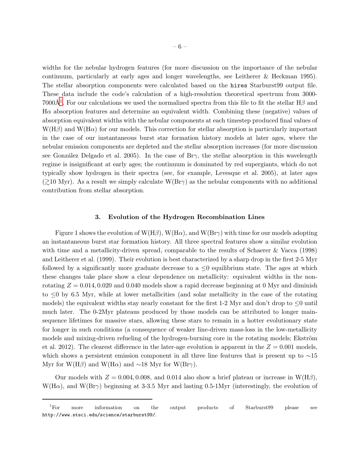widths for the nebular hydrogen features (for more discussion on the importance of the nebular continuum, particularly at early ages and longer wavelengths, see Leitherer & Heckman 1995). The stellar absorption components were calculated based on the hires Starburst99 output file. These data include the code's calculation of a high-resolution theoretical spectrum from 3000- 7000Å<sup>[1](#page-10-0)</sup>. For our calculations we used the normalized spectra from this file to fit the stellar H $\beta$  and  $H\alpha$  absorption features and determine an equivalent width. Combining these (negative) values of absorption equivalent widths with the nebular components at each timestep produced final values of  $W(H\beta)$  and  $W(H\alpha)$  for our models. This correction for stellar absorption is particularly important in the case of our instantaneous burst star formation history models at later ages, where the nebular emission components are depleted and the stellar absorption increases (for more discussion see González Delgado et al. 2005). In the case of  $Br_{\gamma}$ , the stellar absorption in this wavelength regime is insignificant at early ages; the continuum is dominated by red supergiants, which do not typically show hydrogen in their spectra (see, for example, Levesque et al. 2005), at later ages  $\langle \geq 10 \text{ Myr} \rangle$ . As a result we simply calculate W(Br $\gamma$ ) as the nebular components with no additional contribution from stellar absorption.

# 3. Evolution of the Hydrogen Recombination Lines

Figure 1 shows the evolution of  $W(H\beta)$ ,  $W(H\alpha)$ , and  $W(Br\gamma)$  with time for our models adopting an instantaneous burst star formation history. All three spectral features show a similar evolution with time and a metallicity-driven spread, comparable to the results of Schaerer & Vacca (1998) and Leitherer et al. (1999). Their evolution is best characterized by a sharp drop in the first 2-5 Myr followed by a significantly more graduate decrease to a  $\leq 0$  equilibrium state. The ages at which these changes take place show a clear dependence on metallicity: equivalent widths in the nonrotating  $Z = 0.014, 0.020$  and 0.040 models show a rapid decrease beginning at 0 Myr and diminish to  $\leq 0$  by 6.5 Myr, while at lower metallicities (and solar metallicity in the case of the rotating models) the equivalent widths stay nearly constant for the first 1-2 Myr and don't drop to  $\leq 0$  until much later. The 0-2Myr plateaus produced by those models can be attributed to longer mainsequence lifetimes for massive stars, allowing these stars to remain in a hotter evolutionary state for longer in such conditions (a consequence of weaker line-driven mass-loss in the low-metallicity models and mixing-driven refueling of the hydrogen-burning core in the rotating models; Ekström et al. 2012). The clearest difference in the later-age evolution is apparent in the  $Z = 0.001$  models, which shows a persistent emission component in all three line features that is present up to  $\sim$ 15 Myr for W(Hβ) and W(Hα) and ~18 Myr for W(Br $\gamma$ ).

Our models with  $Z = 0.004, 0.008$ , and 0.014 also show a brief plateau or increase in W(H $\beta$ ),  $W(H\alpha)$ , and  $W(Br\gamma)$  beginning at 3-3.5 Myr and lasting 0.5-1Myr (interestingly, the evolution of

<sup>&</sup>lt;sup>1</sup>For more information on the output products of Starburst99 please see http://www.stsci.edu/science/starburst99/.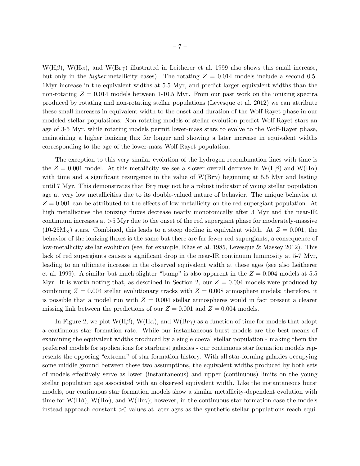$W(H\beta)$ ,  $W(H\alpha)$ , and  $W(Br\gamma)$  illustrated in Leitherer et al. 1999 also shows this small increase, but only in the *higher-metallicity* cases). The rotating  $Z = 0.014$  models include a second 0.5-1Myr increase in the equivalent widths at 5.5 Myr, and predict larger equivalent widths than the non-rotating  $Z = 0.014$  models between 1-10.5 Myr. From our past work on the ionizing spectra produced by rotating and non-rotating stellar populations (Levesque et al. 2012) we can attribute these small increases in equivalent width to the onset and duration of the Wolf-Rayet phase in our modeled stellar populations. Non-rotating models of stellar evolution predict Wolf-Rayet stars an age of 3-5 Myr, while rotating models permit lower-mass stars to evolve to the Wolf-Rayet phase, maintaining a higher ionizing flux for longer and showing a later increase in equivalent widths corresponding to the age of the lower-mass Wolf-Rayet population.

The exception to this very similar evolution of the hydrogen recombination lines with time is the  $Z = 0.001$  model. At this metallicity we see a slower overall decrease in W(H $\beta$ ) and W(H $\alpha$ ) with time and a significant resurgence in the value of  $W(Br\gamma)$  beginning at 5.5 Myr and lasting until 7 Myr. This demonstrates that  $Br\gamma$  may not be a robust indicator of young stellar population age at very low metallicities due to its double-valued nature of behavior. The unique behavior at  $Z = 0.001$  can be attributed to the effects of low metallicity on the red supergiant population. At high metallicities the ionizing fluxes decrease nearly monotonically after 3 Myr and the near-IR continuum increases at >5 Myr due to the onset of the red supergiant phase for moderately-massive  $(10-25M<sub>©</sub>)$  stars. Combined, this leads to a steep decline in equivalent width. At  $Z = 0.001$ , the behavior of the ionizing fluxes is the same but there are far fewer red supergiants, a consequence of low-metallicity stellar evolution (see, for example, Elias et al. 1985, Levesque & Massey 2012). This lack of red supergiants causes a significant drop in the near-IR continuum luminosity at 5-7 Myr, leading to an ultimate increase in the observed equivalent width at these ages (see also Leitherer et al. 1999). A similar but much slighter "bump" is also apparent in the  $Z = 0.004$  models at 5.5 Myr. It is worth noting that, as described in Section 2, our  $Z = 0.004$  models were produced by combining  $Z = 0.004$  stellar evolutionary tracks with  $Z = 0.008$  atmosphere models; therefore, it is possible that a model run with  $Z = 0.004$  stellar atmospheres would in fact present a clearer missing link between the predictions of our  $Z = 0.001$  and  $Z = 0.004$  models.

In Figure 2, we plot  $W(H\beta)$ ,  $W(H\alpha)$ , and  $W(Br\gamma)$  as a function of time for models that adopt a continuous star formation rate. While our instantaneous burst models are the best means of examining the equivalent widths produced by a single coeval stellar population - making them the preferred models for applications for starburst galaxies - our continuous star formation models represents the opposing "extreme" of star formation history. With all star-forming galaxies occupying some middle ground between these two assumptions, the equivalent widths produced by both sets of models effectively serve as lower (instantaneous) and upper (continuous) limits on the young stellar population age associated with an observed equivalent width. Like the instantaneous burst models, our continuous star formation models show a similar metallicity-dependent evolution with time for W(H $\beta$ ), W(H $\alpha$ ), and W(Br $\gamma$ ); however, in the continuous star formation case the models instead approach constant >0 values at later ages as the synthetic stellar populations reach equi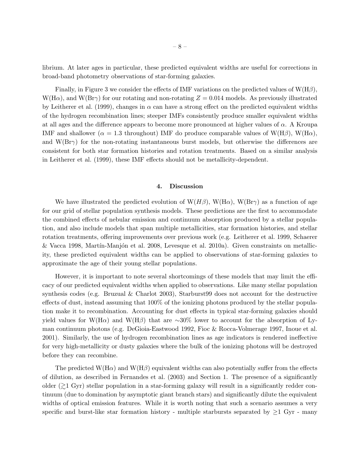librium. At later ages in particular, these predicted equivalent widths are useful for corrections in broad-band photometry observations of star-forming galaxies.

Finally, in Figure 3 we consider the effects of IMF variations on the predicted values of  $W(H\beta)$ ,  $W(H\alpha)$ , and  $W(Br\gamma)$  for our rotating and non-rotating  $Z = 0.014$  models. As previously illustrated by Leitherer et al. (1999), changes in  $\alpha$  can have a strong effect on the predicted equivalent widths of the hydrogen recombination lines; steeper IMFs consistently produce smaller equivalent widths at all ages and the difference appears to become more pronounced at higher values of  $\alpha$ . A Kroupa IMF and shallower ( $\alpha = 1.3$  throughout) IMF do produce comparable values of W(H $\beta$ ), W(H $\alpha$ ), and  $W(Br\gamma)$  for the non-rotating instantaneous burst models, but otherwise the differences are consistent for both star formation histories and rotation treatments. Based on a similar analysis in Leitherer et al. (1999), these IMF effects should not be metallicity-dependent.

# 4. Discussion

We have illustrated the predicted evolution of  $W(H\beta)$ ,  $W(H\alpha)$ ,  $W(Br\gamma)$  as a function of age for our grid of stellar population synthesis models. These predictions are the first to accommodate the combined effects of nebular emission and continuum absorption produced by a stellar population, and also include models that span multiple metallicities, star formation histories, and stellar rotation treatments, offering improvements over previous work (e.g. Leitherer et al. 1999, Schaerer  $& \text{Vacca 1998}, \text{ Martín-Manjón et al. 2008}, \text{Levesque et al. 2010a}. Given constraints on metallic$ ity, these predicted equivalent widths can be applied to observations of star-forming galaxies to approximate the age of their young stellar populations.

However, it is important to note several shortcomings of these models that may limit the efficacy of our predicted equivalent widths when applied to observations. Like many stellar population synthesis codes (e.g. Bruzual & Charlot 2003), Starburst99 does not account for the destructive effects of dust, instead assuming that 100% of the ionizing photons produced by the stellar population make it to recombination. Accounting for dust effects in typical star-forming galaxies should yield values for W(H $\alpha$ ) and W(H $\beta$ ) that are ∼30% lower to account for the absorption of Lyman continuum photons (e.g. DeGioia-Eastwood 1992, Fioc & Rocca-Volmerage 1997, Inoue et al. 2001). Similarly, the use of hydrogen recombination lines as age indicators is rendered ineffective for very high-metallicity or dusty galaxies where the bulk of the ionizing photons will be destroyed before they can recombine.

The predicted W(H $\alpha$ ) and W(H $\beta$ ) equivalent widths can also potentially suffer from the effects of dilution, as described in Fernandes et al. (2003) and Section 1. The presence of a significantly older  $(21 \text{ Gyr})$  stellar population in a star-forming galaxy will result in a significantly redder continuum (due to domination by asymptotic giant branch stars) and significantly dilute the equivalent widths of optical emission features. While it is worth noting that such a scenario assumes a very specific and burst-like star formation history - multiple starbursts separated by  $\geq 1$  Gyr - many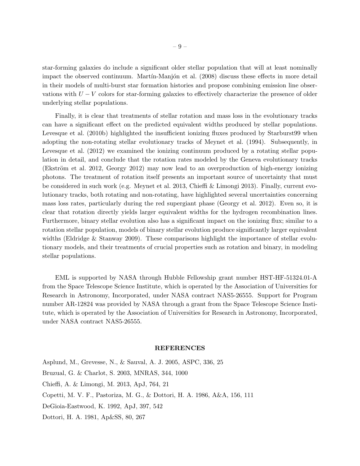star-forming galaxies do include a significant older stellar population that will at least nominally impact the observed continuum. Martín-Manjón et al. (2008) discuss these effects in more detail in their models of multi-burst star formation histories and propose combining emission line observations with  $U - V$  colors for star-forming galaxies to effectively characterize the presence of older underlying stellar populations.

Finally, it is clear that treatments of stellar rotation and mass loss in the evolutionary tracks can have a significant effect on the predicted equivalent widths produced by stellar populations. Levesque et al. (2010b) highlighted the insufficient ionizing fluxes produced by Starburst99 when adopting the non-rotating stellar evolutionary tracks of Meynet et al. (1994). Subsequently, in Levesque et al. (2012) we examined the ionizing continuum produced by a rotating stellar population in detail, and conclude that the rotation rates modeled by the Geneva evolutionary tracks (Ekström et al. 2012, Georgy 2012) may now lead to an overproduction of high-energy ionizing photons. The treatment of rotation itself presents an important source of uncertainty that must be considered in such work (e.g. Meynet et al. 2013, Chieffi & Limongi 2013). Finally, current evolutionary tracks, both rotating and non-rotating, have highlighted several uncertainties concerning mass loss rates, particularly during the red supergiant phase (Georgy et al. 2012). Even so, it is clear that rotation directly yields larger equivalent widths for the hydrogen recombination lines. Furthermore, binary stellar evolution also has a significant impact on the ionizing flux; similar to a rotation stellar population, models of binary stellar evolution produce significantly larger equivalent widths (Eldridge & Stanway 2009). These comparisons highlight the importance of stellar evolutionary models, and their treatments of crucial properties such as rotation and binary, in modeling stellar populations.

EML is supported by NASA through Hubble Fellowship grant number HST-HF-51324.01-A from the Space Telescope Science Institute, which is operated by the Association of Universities for Research in Astronomy, Incorporated, under NASA contract NAS5-26555. Support for Program number AR-12824 was provided by NASA through a grant from the Space Telescope Science Institute, which is operated by the Association of Universities for Research in Astronomy, Incorporated, under NASA contract NAS5-26555.

# REFERENCES

Asplund, M., Grevesse, N., & Sauval, A. J. 2005, ASPC, 336, 25 Bruzual, G. & Charlot, S. 2003, MNRAS, 344, 1000 Chieffi, A. & Limongi, M. 2013, ApJ, 764, 21 Copetti, M. V. F., Pastoriza, M. G., & Dottori, H. A. 1986, A&A, 156, 111 DeGioia-Eastwood, K. 1992, ApJ, 397, 542 Dottori, H. A. 1981, Ap&SS, 80, 267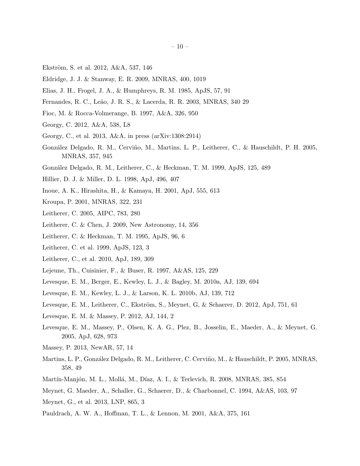- Ekström, S. et al. 2012, A&A, 537, 146
- Eldridge, J. J. & Stanway, E. R. 2009, MNRAS, 400, 1019
- Elias, J. H., Frogel, J. A., & Humphreys, R. M. 1985, ApJS, 57, 91
- Fernandes, R. C., Le˜ao, J. R. S., & Lacerda, R. R. 2003, MNRAS, 340 29
- Fioc, M. & Rocca-Volmerange, B. 1997, A&A, 326, 950
- Georgy, C. 2012, A&A, 538, L8
- Georgy, C., et al. 2013, A&A, in press (arXiv:1308:2914)
- González Delgado, R. M., Cerviño, M., Martins, L. P., Leitherer, C., & Hauschildt, P. H. 2005, MNRAS, 357, 945
- Gonz´alez Delgado, R. M., Leitherer, C., & Heckman, T. M. 1999, ApJS, 125, 489
- Hillier, D. J. & Miller, D. L. 1998, ApJ, 496, 407
- Inoue, A. K., Hirashita, H., & Kamaya, H. 2001, ApJ, 555, 613
- Kroupa, P. 2001, MNRAS, 322, 231
- Leitherer, C. 2005, AIPC, 783, 280
- Leitherer, C. & Chen, J. 2009, New Astronomy, 14, 356
- Leitherer, C. & Heckman, T. M. 1995, ApJS, 96, 6
- Leitherer, C. et al. 1999, ApJS, 123, 3
- Leitherer, C., et al. 2010, ApJ, 189, 309
- Lejeune, Th., Cuisinier, F., & Buser, R. 1997, A&AS, 125, 229
- Levesque, E. M., Berger, E., Kewley, L. J., & Bagley, M. 2010a, AJ, 139, 694
- Levesque, E. M., Kewley, L. J., & Larson, K. L. 2010b, AJ, 139, 712
- Levesque, E. M., Leitherer, C., Ekström, S., Meynet, G. & Schaerer, D. 2012, ApJ, 751, 61
- Levesque, E. M. & Massey, P. 2012, AJ, 144, 2
- Levesque, E. M., Massey, P., Olsen, K. A. G., Plez, B., Josselin, E., Maeder, A., & Meynet, G. 2005, ApJ, 628, 973
- Massey, P. 2013, NewAR, 57, 14
- Martins, L. P., González Delgado, R. M., Leitherer, C. Cerviño, M., & Hauschildt, P. 2005, MNRAS, 358, 49
- Martín-Manjón, M. L., Mollá, M., Díaz, A. I., & Terlevich, R. 2008, MNRAS, 385, 854
- Meynet, G. Maeder, A., Schaller, G., Schaerer, D., & Charbonnel, C. 1994, A&AS, 103, 97
- Meynet, G., et al. 2013, LNP, 865, 3
- Pauldrach, A. W. A., Hoffman, T. L., & Lennon, M. 2001, A&A, 375, 161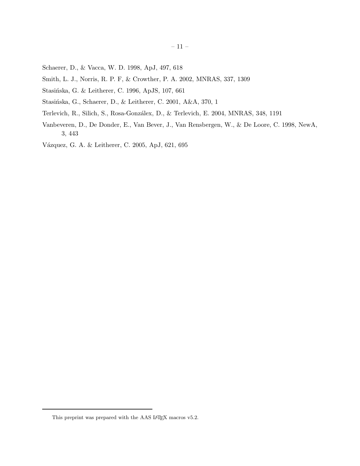- Schaerer, D., & Vacca, W. D. 1998, ApJ, 497, 618
- Smith, L. J., Norris, R. P. F, & Crowther, P. A. 2002, MNRAS, 337, 1309
- Stasińska, G. & Leitherer, C. 1996, ApJS, 107, 661
- Stasińska, G., Schaerer, D., & Leitherer, C. 2001, A&A, 370, 1
- Terlevich, R., Silich, S., Rosa-Gonzálex, D., & Terlevich, E. 2004, MNRAS, 348, 1191
- Vanbeveren, D., De Donder, E., Van Bever, J., Van Rensbergen, W., & De Loore, C. 1998, NewA, 3, 443
- Vázquez, G. A. & Leitherer, C. 2005, ApJ, 621, 695

<span id="page-10-0"></span>This preprint was prepared with the AAS IATEX macros v5.2.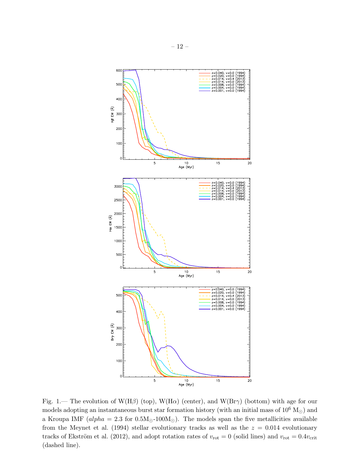

Fig. 1.— The evolution of W(H $\beta$ ) (top), W(H $\alpha$ ) (center), and W(Br $\gamma$ ) (bottom) with age for our models adopting an instantaneous burst star formation history (with an initial mass of  $10^6$  M<sub>☉</sub>) and a Kroupa IMF ( $alpha = 2.3$  for  $0.5M_{\odot}$ -100 $M_{\odot}$ ). The models span the five metallicities available from the Meynet et al. (1994) stellar evolutionary tracks as well as the  $z = 0.014$  evolutionary tracks of Ekström et al. (2012), and adopt rotation rates of  $v_{\text{rot}} = 0$  (solid lines) and  $v_{\text{rot}} = 0.4v_{\text{crit}}$ (dashed line).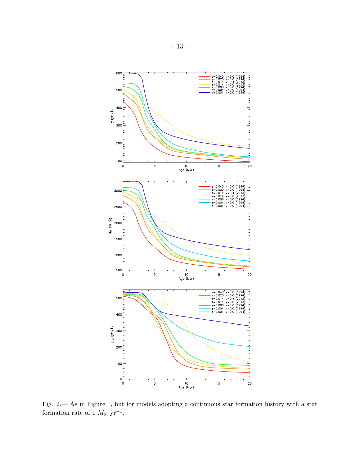

Fig. 2.— As in Figure 1, but for models adopting a continuous star formation history with a star formation rate of 1  $M_{\odot}$  yr<sup>-1</sup>.